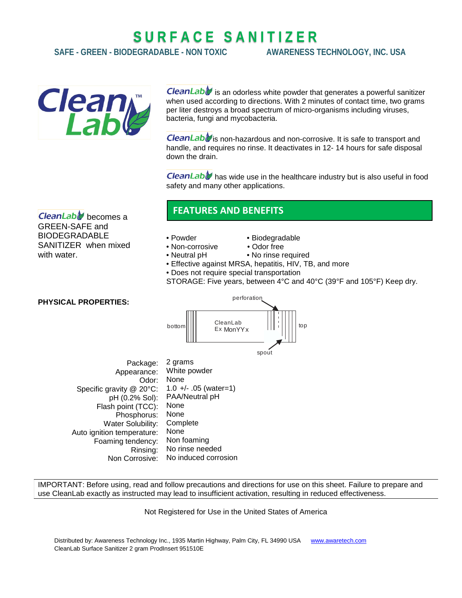# **S U R F A C E S A N I T I Z E R**

**SAFE - GREEN - BIODEGRADABLE - NON TOXIC AWARENESS TECHNOLOGY, INC. USA**



CleanLab $\bigtriangledown$  is an odorless white powder that generates a powerful sanitizer when used according to directions. With 2 minutes of contact time, two grams per liter destroys a broad spectrum of micro-organisms including viruses, bacteria, fungi and mycobacteria.

**CleanLab** is non-hazardous and non-corrosive. It is safe to transport and handle, and requires no rinse. It deactivates in 12- 14 hours for safe disposal down the drain.

**CleanLabV** has wide use in the healthcare industry but is also useful in food safety and many other applications.

**CleanLable** becomes a GREEN-SAFE and BIODEGRADABLE SANITIZER when mixed with water.

## **FEATURES AND BENEFITS**

- 
- Powder Biodegradable
- Non-corrosive Odor free
- Neutral pH No rinse required
- Effective against MRSA, hepatitis, HIV, TB, and more
- Does not require special transportation
- STORAGE: Five years, between 4°C and 40°C (39°F and 105°F) Keep dry.

### **PHYSICAL PROPERTIES:**



| Package:                   | 2 grams                 |
|----------------------------|-------------------------|
| Appearance:                | White powder            |
| Odor:                      | None                    |
| Specific gravity @ 20°C:   | $1.0 +/- .05$ (water=1) |
| pH (0.2% Sol):             | PAA/Neutral pH          |
| Flash point (TCC):         | None                    |
| Phosphorus:                | None                    |
| Water Solubility:          | Complete                |
| Auto ignition temperature: | None                    |
| Foaming tendency:          | Non foaming             |
| Rinsing:                   | No rinse needed         |
| Non Corrosive:             | No induced corrosion    |
|                            |                         |

IMPORTANT: Before using, read and follow precautions and directions for use on this sheet. Failure to prepare and use CleanLab exactly as instructed may lead to insufficient activation, resulting in reduced effectiveness.

Not Registered for Use in the United States of America